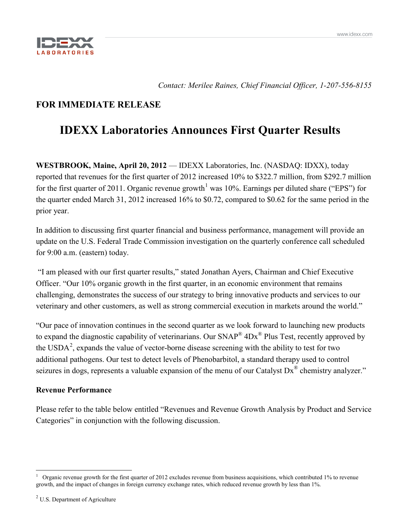

*Contact: Merilee Raines, Chief Financial Officer, 1-207-556-8155*

# **FOR IMMEDIATE RELEASE**

# **IDEXX Laboratories Announces First Quarter Results**

**WESTBROOK, Maine, April 20, 2012** — IDEXX Laboratories, Inc. (NASDAQ: IDXX), today reported that revenues for the first quarter of 2012 increased 10% to \$322.7 million, from \$292.7 million for the first quarter of 20[1](#page-0-0)1. Organic revenue growth<sup>1</sup> was 10%. Earnings per diluted share ("EPS") for the quarter ended March 31, 2012 increased 16% to \$0.72, compared to \$0.62 for the same period in the prior year.

In addition to discussing first quarter financial and business performance, management will provide an update on the U.S. Federal Trade Commission investigation on the quarterly conference call scheduled for 9:00 a.m. (eastern) today.

"I am pleased with our first quarter results," stated Jonathan Ayers, Chairman and Chief Executive Officer. "Our 10% organic growth in the first quarter, in an economic environment that remains challenging, demonstrates the success of our strategy to bring innovative products and services to our veterinary and other customers, as well as strong commercial execution in markets around the world."

"Our pace of innovation continues in the second quarter as we look forward to launching new products to expand the diagnostic capability of veterinarians. Our  $SNAP^{\circledR}$  4Dx<sup> $\circledR$ </sup> Plus Test, recently approved by the USDA<sup>[2](#page-0-1)</sup>, expands the value of vector-borne disease screening with the ability to test for two additional pathogens. Our test to detect levels of Phenobarbitol, a standard therapy used to control seizures in dogs, represents a valuable expansion of the menu of our Catalyst Dx<sup>®</sup> chemistry analyzer."

# **Revenue Performance**

Please refer to the table below entitled "Revenues and Revenue Growth Analysis by Product and Service Categories" in conjunction with the following discussion.

<span id="page-0-1"></span><span id="page-0-0"></span> <sup>1</sup> Organic revenue growth for the first quarter of 2012 excludes revenue from business acquisitions, which contributed 1% to revenue growth, and the impact of changes in foreign currency exchange rates, which reduced revenue growth by less than 1%.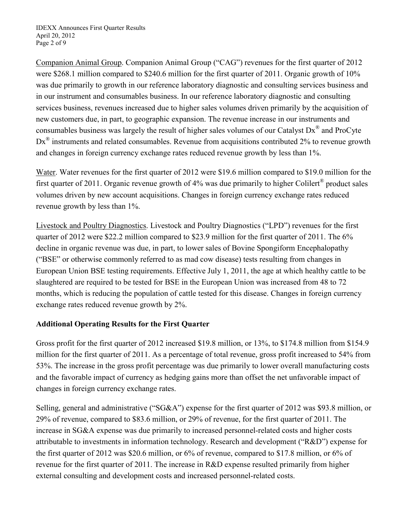Companion Animal Group. Companion Animal Group ("CAG") revenues for the first quarter of 2012 were \$268.1 million compared to \$240.6 million for the first quarter of 2011. Organic growth of 10% was due primarily to growth in our reference laboratory diagnostic and consulting services business and in our instrument and consumables business. In our reference laboratory diagnostic and consulting services business, revenues increased due to higher sales volumes driven primarily by the acquisition of new customers due, in part, to geographic expansion. The revenue increase in our instruments and consumables business was largely the result of higher sales volumes of our Catalyst Dx® and ProCyte  $Dx^{\otimes}$  instruments and related consumables. Revenue from acquisitions contributed 2% to revenue growth and changes in foreign currency exchange rates reduced revenue growth by less than 1%.

Water. Water revenues for the first quarter of 2012 were \$19.6 million compared to \$19.0 million for the first quarter of 2011. Organic revenue growth of 4% was due primarily to higher Colilert® product sales volumes driven by new account acquisitions. Changes in foreign currency exchange rates reduced revenue growth by less than 1%.

Livestock and Poultry Diagnostics . Livestock and Poultry Diagnostics ("LPD") revenues for the first quarter of 2012 were \$22.2 million compared to \$23.9 million for the first quarter of 2011. The 6% decline in organic revenue was due, in part, to lower sales of Bovine Spongiform Encephalopathy ("BSE" or otherwise commonly referred to as mad cow disease) tests resulting from changes in European Union BSE testing requirements. Effective July 1, 2011, the age at which healthy cattle to be slaughtered are required to be tested for BSE in the European Union was increased from 48 to 72 months, which is reducing the population of cattle tested for this disease. Changes in foreign currency exchange rates reduced revenue growth by 2%.

# **Additional Operating Results for the First Quarter**

Gross profit for the first quarter of 2012 increased \$19.8 million, or 13%, to \$174.8 million from \$154.9 million for the first quarter of 2011. As a percentage of total revenue, gross profit increased to 54% from 53%. The increase in the gross profit percentage was due primarily to lower overall manufacturing costs and the favorable impact of currency as hedging gains more than offset the net unfavorable impact of changes in foreign currency exchange rates.

Selling, general and administrative ("SG&A") expense for the first quarter of 2012 was \$93.8 million, or 29% of revenue, compared to \$83.6 million, or 29% of revenue, for the first quarter of 2011. The increase in SG&A expense was due primarily to increased personnel-related costs and higher costs attributable to investments in information technology. Research and development ("R&D") expense for the first quarter of 2012 was \$20.6 million, or 6% of revenue, compared to \$17.8 million, or 6% of revenue for the first quarter of 2011. The increase in R&D expense resulted primarily from higher external consulting and development costs and increased personnel-related costs.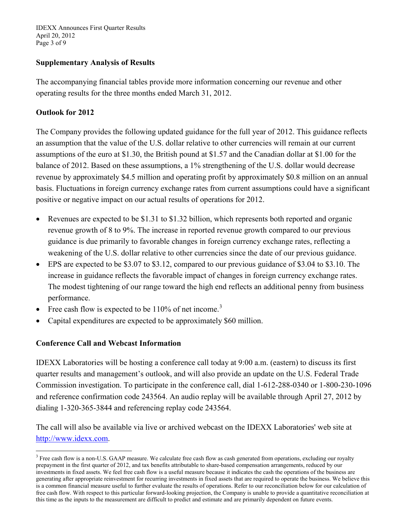IDEXX Announces First Quarter Results April 20, 2012 Page 3 of 9

## **Supplementary Analysis of Results**

The accompanying financial tables provide more information concerning our revenue and other operating results for the three months ended March 31, 2012.

# **Outlook for 2012**

The Company provides the following updated guidance for the full year of 2012. This guidance reflects an assumption that the value of the U.S. dollar relative to other currencies will remain at our current assumptions of the euro at \$1.30, the British pound at \$1.57 and the Canadian dollar at \$1.00 for the balance of 2012. Based on these assumptions, a 1% strengthening of the U.S. dollar would decrease revenue by approximately \$4.5 million and operating profit by approximately \$0.8 million on an annual basis. Fluctuations in foreign currency exchange rates from current assumptions could have a significant positive or negative impact on our actual results of operations for 2012.

- Revenues are expected to be \$1.31 to \$1.32 billion, which represents both reported and organic revenue growth of 8 to 9%. The increase in reported revenue growth compared to our previous guidance is due primarily to favorable changes in foreign currency exchange rates, reflecting a weakening of the U.S. dollar relative to other currencies since the date of our previous guidance.
- EPS are expected to be \$3.07 to \$3.12, compared to our previous guidance of \$3.04 to \$3.10. The increase in guidance reflects the favorable impact of changes in foreign currency exchange rates. The modest tightening of our range toward the high end reflects an additional penny from business performance.
- Free cash flow is expected to be  $110\%$  of net income.<sup>[3](#page-2-0)</sup>
- Capital expenditures are expected to be approximately \$60 million.

### **Conference Call and Webcast Information**

IDEXX Laboratories will be hosting a conference call today at 9:00 a.m. (eastern) to discuss its first quarter results and management's outlook, and will also provide an update on the U.S. Federal Trade Commission investigation. To participate in the conference call, dial 1-612-288-0340 or 1-800-230-1096 and reference confirmation code 243564. An audio replay will be available through April 27, 2012 by dialing 1-320-365-3844 and referencing replay code 243564.

The call will also be available via live or archived webcast on the IDEXX Laboratories' web site at [http://www.idexx.com.](http://www.idexx.com/)

<span id="page-2-0"></span><sup>&</sup>lt;sup>3</sup> Free cash flow is a non-U.S. GAAP measure. We calculate free cash flow as cash generated from operations, excluding our royalty prepayment in the first quarter of 2012, and tax benefits attributable to share-based compensation arrangements, reduced by our investments in fixed assets. We feel free cash flow is a useful measure because it indicates the cash the operations of the business are generating after appropriate reinvestment for recurring investments in fixed assets that are required to operate the business. We believe this is a common financial measure useful to further evaluate the results of operations. Refer to our reconciliation below for our calculation of free cash flow. With respect to this particular forward-looking projection, the Company is unable to provide a quantitative reconciliation at this time as the inputs to the measurement are difficult to predict and estimate and are primarily dependent on future events.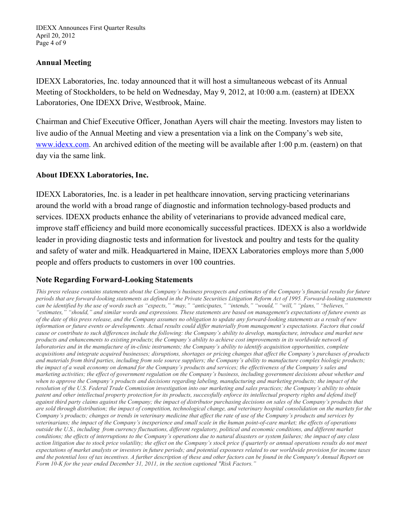IDEXX Announces First Quarter Results April 20, 2012 Page 4 of 9

## **Annual Meeting**

IDEXX Laboratories, Inc. today announced that it will host a simultaneous webcast of its Annual Meeting of Stockholders, to be held on Wednesday, May 9, 2012, at 10:00 a.m. (eastern) at IDEXX Laboratories, One IDEXX Drive, Westbrook, Maine.

Chairman and Chief Executive Officer, Jonathan Ayers will chair the meeting. Investors may listen to live audio of the Annual Meeting and view a presentation via a link on the Company's web site, [www.idexx.com.](http://www.idexx.com/) An archived edition of the meeting will be available after 1:00 p.m. (eastern) on that day via the same link.

### **About IDEXX Laboratories, Inc.**

IDEXX Laboratories, Inc. is a leader in pet healthcare innovation, serving practicing veterinarians around the world with a broad range of diagnostic and information technology-based products and services. IDEXX products enhance the ability of veterinarians to provide advanced medical care, improve staff efficiency and build more economically successful practices. IDEXX is also a worldwide leader in providing diagnostic tests and information for livestock and poultry and tests for the quality and safety of water and milk. Headquartered in Maine, IDEXX Laboratories employs more than 5,000 people and offers products to customers in over 100 countries.

# **Note Regarding Forward-Looking Statements**

*This press release contains statements about the Company's business prospects and estimates of the Company's financial results for future periods that are forward-looking statements as defined in the Private Securities Litigation Reform Act of 1995. Forward-looking statements can be identified by the use of words such as "expects," "may," "anticipates," "intends," "would," "will," "plans," "believes," "estimates," "should," and similar words and expressions. These statements are based on management's expectations of future events as of the date of this press release, and the Company assumes no obligation to update any forward-looking statements as a result of new information or future events or developments. Actual results could differ materially from management's expectations. Factors that could cause or contribute to such differences include the following: the Company's ability to develop, manufacture, introduce and market new products and enhancements to existing products*; *the Company's ability to achieve cost improvements in its worldwide network of laboratories and in the manufacture of in-clinic instruments; the Company's ability to identify acquisition opportunities, complete acquisitions and integrate acquired businesses; disruptions, shortages or pricing changes that affect the Company's purchases of products and materials from third parties, including from sole source suppliers; the Company's ability to manufacture complex biologic products; the impact of a weak economy on demand for the Company's products and services; the effectiveness of the Company's sales and marketing activities; the effect of government regulation on the Company's business, including government decisions about whether and when to approve the Company's products and decisions regarding labeling, manufacturing and marketing products; the impact of the resolution of the U.S. Federal Trade Commission investigation into our marketing and sales practices; the Company's ability to obtain patent and other intellectual property protection for its products, successfully enforce its intellectual property rights and defend itself against third party claims against the Company; the impact of distributor purchasing decisions on sales of the Company's products that are sold through distribution; the impact of competition, technological change, and veterinary hospital consolidation on the markets for the Company's products; changes or trends in veterinary medicine that affect the rate of use of the Company's products and services by veterinarians; the impact of the Company's inexperience and small scale in the human point-of-care market; the effects of operations outside the U.S., including from currency fluctuations, different regulatory, political and economic conditions, and different market conditions; the effects of interruptions to the Company's operations due to natural disasters or system failures; the impact of any class action litigation due to stock price volatility; the effect on the Company's stock price if quarterly or annual operations results do not meet expectations of market analysts or investors in future periods; and potential exposures related to our worldwide provision for income taxes and the potential loss of tax incentives. A further description of these and other factors can be found in the Company's Annual Report on Form 10-K for the year ended December 31, 2011, in the section captioned "Risk Factors."*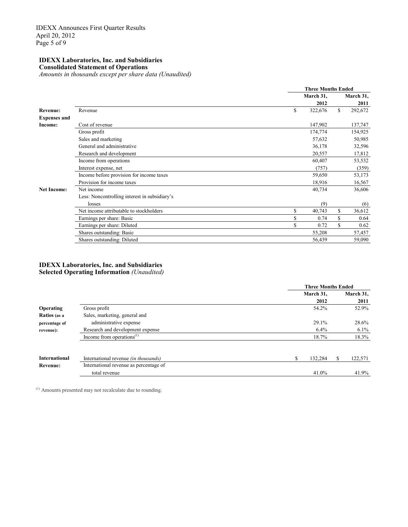#### **IDEXX Laboratories, Inc. and Subsidiaries Consolidated Statement of Operations**

*Amounts in thousands except per share data (Unaudited)*

|                     |                                               |    |           | <b>Three Months Ended</b><br>2012<br>S.<br>322,676<br>147,902<br>174,774 |           |  |  |
|---------------------|-----------------------------------------------|----|-----------|--------------------------------------------------------------------------|-----------|--|--|
|                     |                                               |    | March 31, |                                                                          | March 31, |  |  |
|                     |                                               |    |           |                                                                          | 2011      |  |  |
| <b>Revenue:</b>     | Revenue                                       | \$ |           |                                                                          | 292,672   |  |  |
| <b>Expenses and</b> |                                               |    |           |                                                                          |           |  |  |
| Income:             | Cost of revenue                               |    |           |                                                                          | 137,747   |  |  |
|                     | Gross profit                                  |    |           |                                                                          | 154,925   |  |  |
|                     | Sales and marketing                           |    | 57,632    |                                                                          | 50,985    |  |  |
|                     | General and administrative                    |    | 36,178    |                                                                          | 32,596    |  |  |
|                     | Research and development                      |    | 20,557    |                                                                          | 17,812    |  |  |
|                     | Income from operations                        |    | 60,407    |                                                                          | 53,532    |  |  |
|                     | Interest expense, net                         |    | (757)     |                                                                          | (359)     |  |  |
|                     | Income before provision for income taxes      |    | 59,650    |                                                                          | 53,173    |  |  |
|                     | Provision for income taxes                    |    | 18,916    |                                                                          | 16,567    |  |  |
| <b>Net Income:</b>  | Net income                                    |    | 40,734    |                                                                          | 36,606    |  |  |
|                     | Less: Noncontrolling interest in subsidiary's |    |           |                                                                          |           |  |  |
|                     | losses                                        |    | (9)       |                                                                          | (6)       |  |  |
|                     | Net income attributable to stockholders       | \$ | 40,743    | \$                                                                       | 36,612    |  |  |
|                     | Earnings per share: Basic                     | S  | 0.74      | \$                                                                       | 0.64      |  |  |
|                     | Earnings per share: Diluted                   |    | 0.72      | \$                                                                       | 0.62      |  |  |
|                     | Shares outstanding: Basic                     |    | 55,208    |                                                                          | 57,457    |  |  |
|                     | Shares outstanding: Diluted                   |    | 56,439    |                                                                          | 59,090    |  |  |

### **IDEXX Laboratories, Inc. and Subsidiaries Selected Operating Information** *(Unaudited)*

|                      |                                                    | <b>Three Months Ended</b> |           |
|----------------------|----------------------------------------------------|---------------------------|-----------|
|                      |                                                    | March 31,                 | March 31, |
|                      |                                                    | 2012                      | 2011      |
| <b>Operating</b>     | Gross profit                                       | 54.2%                     | 52.9%     |
| Ratios (as a         | Sales, marketing, general and                      |                           |           |
| percentage of        | administrative expense                             | 29.1%                     | 28.6%     |
| revenue):            | Research and development expense                   | 6.4%                      | $6.1\%$   |
|                      | Income from operations <sup><math>(1)</math></sup> | 18.7%                     | 18.3%     |
|                      |                                                    |                           |           |
| <b>International</b> | International revenue <i>(in thousands)</i>        | \$<br>132,284             | 122,571   |
| <b>Revenue:</b>      | International revenue as percentage of             |                           |           |
|                      | total revenue                                      | 41.0%                     | 41.9%     |

(1) Amounts presented may not recalculate due to rounding.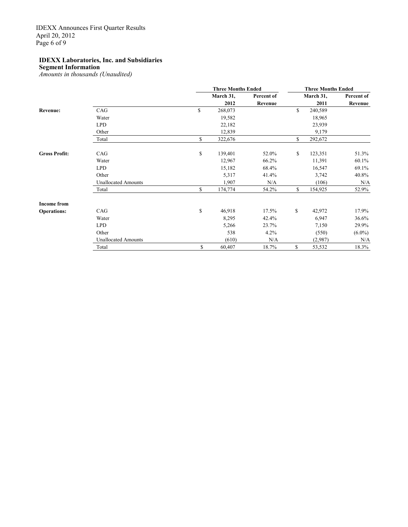### **IDEXX Laboratories, Inc. and Subsidiaries**

**Segment Information**

*Amounts in thousands (Unaudited)*

|                      |                            | <b>Three Months Ended</b> |            | <b>Three Months Ended</b> |            |  |  |
|----------------------|----------------------------|---------------------------|------------|---------------------------|------------|--|--|
|                      |                            | March 31,                 | Percent of | March 31,                 | Percent of |  |  |
|                      |                            | 2012                      | Revenue    | 2011                      | Revenue    |  |  |
| Revenue:             | CAG                        | \$<br>268,073             |            | \$<br>240,589             |            |  |  |
|                      | Water                      | 19,582                    |            | 18,965                    |            |  |  |
|                      | <b>LPD</b>                 | 22,182                    |            | 23,939                    |            |  |  |
|                      | Other                      | 12,839                    |            | 9,179                     |            |  |  |
|                      | Total                      | \$<br>322,676             |            | \$<br>292,672             |            |  |  |
| <b>Gross Profit:</b> | CAG                        | \$<br>139,401             | 52.0%      | \$<br>123,351             | 51.3%      |  |  |
|                      | Water                      | 12,967                    | 66.2%      | 11,391                    | 60.1%      |  |  |
|                      | <b>LPD</b>                 | 15,182                    | 68.4%      | 16,547                    | 69.1%      |  |  |
|                      | Other                      | 5,317                     | 41.4%      | 3,742                     | 40.8%      |  |  |
|                      | <b>Unallocated Amounts</b> | 1,907                     | N/A        | (106)                     | N/A        |  |  |
|                      | Total                      | \$<br>174,774             | 54.2%      | \$<br>154,925             | 52.9%      |  |  |
| <b>Income from</b>   |                            |                           |            |                           |            |  |  |
| <b>Operations:</b>   | CAG                        | \$<br>46,918              | 17.5%      | \$<br>42,972              | 17.9%      |  |  |
|                      | Water                      | 8,295                     | 42.4%      | 6,947                     | 36.6%      |  |  |
|                      | <b>LPD</b>                 | 5,266                     | 23.7%      | 7,150                     | 29.9%      |  |  |
|                      | Other                      | 538                       | 4.2%       | (550)                     | $(6.0\%)$  |  |  |
|                      | <b>Unallocated Amounts</b> | (610)                     | N/A        | (2,987)                   | N/A        |  |  |
|                      | Total                      | \$<br>60,407              | 18.7%      | \$<br>53,532              | 18.3%      |  |  |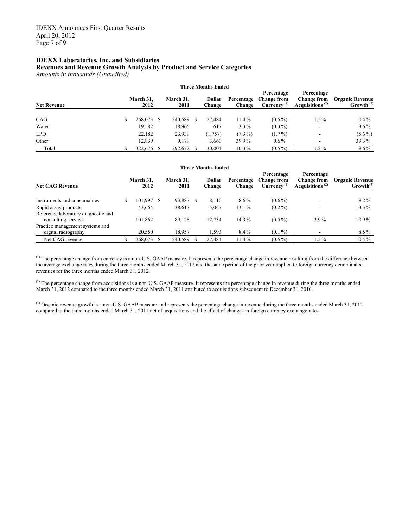#### **IDEXX Laboratories, Inc. and Subsidiaries**

#### **Revenues and Revenue Growth Analysis by Product and Service Categories**

*Amounts in thousands (Unaudited)*

| <b>Three Months Ended</b> |   |                   |  |                   |  |                         |                      |                                                             |                                                        |                                        |
|---------------------------|---|-------------------|--|-------------------|--|-------------------------|----------------------|-------------------------------------------------------------|--------------------------------------------------------|----------------------------------------|
| <b>Net Revenue</b>        |   | March 31,<br>2012 |  | March 31,<br>2011 |  | <b>Dollar</b><br>Change | Percentage<br>Change | Percentage<br><b>Change from</b><br>Currence <sup>(1)</sup> | Percentage<br><b>Change from</b><br>Acquisitions $(2)$ | <b>Organic Revenue</b><br>Growth $(3)$ |
| CAG                       | S | 268,073           |  | 240,589           |  | 27.484                  | $11.4\%$             | $(0.5\%)$                                                   | $1.5\%$                                                | $10.4\%$                               |
| Water                     |   | 19.582            |  | 18,965            |  | 617                     | $3.3\%$              | $(0.3\%)$                                                   | $\overline{\phantom{a}}$                               | $3.6\%$                                |
| <b>LPD</b>                |   | 22,182            |  | 23,939            |  | (1,757)                 | $(7.3\%)$            | $(1.7\%)$                                                   |                                                        | $(5.6\%)$                              |
| Other                     |   | 12,839            |  | 9.179             |  | 3,660                   | 39.9%                | $0.6\%$                                                     |                                                        | 39.3%                                  |
| Total                     |   | 322,676           |  | 292,672           |  | 30.004                  | $10.3\%$             | $(0.5\%)$                                                   | $1.2\%$                                                | $9.6\%$                                |

#### **Three Months Ended**

| <b>Net CAG Revenue</b>                                     | March 31,<br>2012 | March 31,<br>2011 | <b>Dollar</b><br>Change | Percentage<br>Change | Percentage<br><b>Change from</b><br>Currence <sup>(1)</sup> | Percentage<br><b>Change from</b><br>Acquisitions <sup><math>(2)</math></sup> | <b>Organic Revenue</b><br>$Growth^{(3)}$ |
|------------------------------------------------------------|-------------------|-------------------|-------------------------|----------------------|-------------------------------------------------------------|------------------------------------------------------------------------------|------------------------------------------|
| Instruments and consumables                                | 101,997           | 93,887            | 8,110                   | $8.6\%$              | $(0.6\%)$                                                   |                                                                              | $9.2\%$                                  |
| Rapid assay products                                       | 43.664            | 38,617            | 5.047                   | 13.1%                | $(0.2\%)$                                                   |                                                                              | 13.3%                                    |
| Reference laboratory diagnostic and<br>consulting services | 101,862           | 89.128            | 12,734                  | $14.3\%$             | $(0.5\%)$                                                   | $3.9\%$                                                                      | $10.9\%$                                 |
| Practice management systems and<br>digital radiography     | 20,550            | 18.957            | 1.593                   | 8.4%                 | $(0.1\%)$                                                   |                                                                              | $8.5\%$                                  |
| Net CAG revenue                                            | 268,073           | 240,589           | 27,484                  | 11.4%                | $(0.5\%)$                                                   | $1.5\%$                                                                      | $10.4\%$                                 |

 $<sup>(1)</sup>$  The percentage change from currency is a non-U.S. GAAP measure. It represents the percentage change in revenue resulting from the difference between</sup> the average exchange rates during the three months ended March 31, 2012 and the same period of the prior year applied to foreign currency denominated revenues for the three months ended March 31, 2012.

 $<sup>(2)</sup>$  The percentage change from acquisitions is a non-U.S. GAAP measure. It represents the percentage change in revenue during the three months ended</sup> March 31, 2012 compared to the three months ended March 31, 2011 attributed to acquisitions subsequent to December 31, 2010.

(3) Organic revenue growth is a non-U.S. GAAP measure and represents the percentage change in revenue during the three months ended March 31, 2012 compared to the three months ended March 31, 2011 net of acquisitions and the effect of changes in foreign currency exchange rates.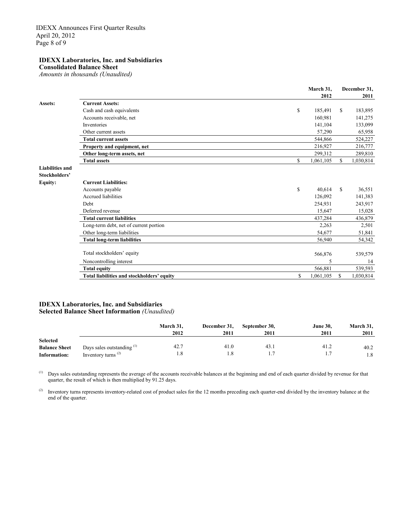### **IDEXX Laboratories, Inc. and Subsidiaries**

**Consolidated Balance Sheet**

*Amounts in thousands (Unaudited)*

|                        |                                            | March 31,       |               | December 31, |
|------------------------|--------------------------------------------|-----------------|---------------|--------------|
|                        |                                            | 2012            |               | 2011         |
| Assets:                | <b>Current Assets:</b>                     |                 |               |              |
|                        | Cash and cash equivalents                  | \$<br>185,491   | \$            | 183,895      |
|                        | Accounts receivable, net                   | 160,981         |               | 141,275      |
|                        | Inventories                                | 141,104         |               | 133,099      |
|                        | Other current assets                       | 57,290          |               | 65,958       |
|                        | <b>Total current assets</b>                | 544,866         |               | 524,227      |
|                        | Property and equipment, net                | 216,927         |               | 216,777      |
|                        | Other long-term assets, net                | 299,312         |               | 289,810      |
|                        | <b>Total assets</b>                        | \$<br>1,061,105 | \$            | 1,030,814    |
| <b>Liabilities and</b> |                                            |                 |               |              |
| Stockholders'          |                                            |                 |               |              |
| <b>Equity:</b>         | <b>Current Liabilities:</b>                |                 |               |              |
|                        | Accounts payable                           | \$<br>40,614    | <sup>\$</sup> | 36,551       |
|                        | <b>Accrued liabilities</b>                 | 126,092         |               | 141,383      |
|                        | Debt                                       | 254,931         |               | 243,917      |
|                        | Deferred revenue                           | 15,647          |               | 15,028       |
|                        | <b>Total current liabilities</b>           | 437,284         |               | 436,879      |
|                        | Long-term debt, net of current portion     | 2,263           |               | 2,501        |
|                        | Other long-term liabilities                | 54,677          |               | 51,841       |
|                        | <b>Total long-term liabilities</b>         | 56,940          |               | 54,342       |
|                        |                                            |                 |               |              |
|                        | Total stockholders' equity                 | 566,876         |               | 539,579      |
|                        | Noncontrolling interest                    | 5               |               | 14           |
|                        | <b>Total equity</b>                        | 566,881         |               | 539,593      |
|                        | Total liabilities and stockholders' equity | \$<br>1,061,105 | S             | 1,030,814    |

### **IDEXX Laboratories, Inc. and Subsidiaries Selected Balance Sheet Information** *(Unaudited)*

|                      |                            | March 31,<br>2012 | December 31,<br>2011 | September 30,<br>2011 | <b>June 30.</b><br>2011 | March 31,<br>2011 |
|----------------------|----------------------------|-------------------|----------------------|-----------------------|-------------------------|-------------------|
| <b>Selected</b>      |                            |                   |                      |                       |                         |                   |
| <b>Balance Sheet</b> | Days sales outstanding (1) | 42.7              | 41.0                 | 43.1                  | 41.2                    | 40.2              |
| Information:         | Inventory turns $(2)$      | 1.8               | 1.8                  |                       |                         | 1.8               |

 $(1)$  Days sales outstanding represents the average of the accounts receivable balances at the beginning and end of each quarter divided by revenue for that quarter, the result of which is then multiplied by 91.25 days.

<sup>(2)</sup> Inventory turns represents inventory-related cost of product sales for the 12 months preceding each quarter-end divided by the inventory balance at the end of the quarter.